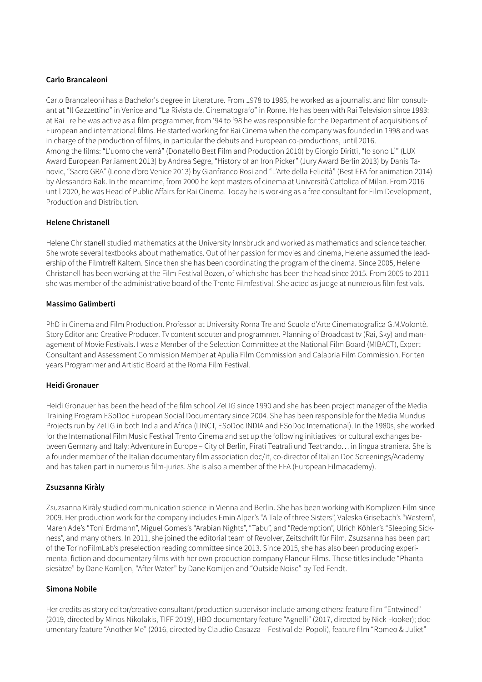## **Carlo Brancaleoni**

Carlo Brancaleoni has a Bachelor's degree in Literature. From 1978 to 1985, he worked as a journalist and film consultant at "Il Gazzettino" in Venice and "La Rivista del Cinematografo" in Rome. He has been with Rai Television since 1983: at Rai Tre he was active as a film programmer, from '94 to '98 he was responsible for the Department of acquisitions of European and international films. He started working for Rai Cinema when the company was founded in 1998 and was in charge of the production of films, in particular the debuts and European co-productions, until 2016. Among the films: "L'uomo che verrà" (Donatello Best Film and Production 2010) by Giorgio Diritti, "Io sono Lì" (LUX Award European Parliament 2013) by Andrea Segre, "History of an Iron Picker" (Jury Award Berlin 2013) by Danis Tanovic, "Sacro GRA" (Leone d'oro Venice 2013) by Gianfranco Rosi and "L'Arte della Felicità" (Best EFA for animation 2014) by Alessandro Rak. In the meantime, from 2000 he kept masters of cinema at Università Cattolica of Milan. From 2016 until 2020, he was Head of Public Affairs for Rai Cinema. Today he is working as a free consultant for Film Development, Production and Distribution.

### **Helene Christanell**

Helene Christanell studied mathematics at the University Innsbruck and worked as mathematics and science teacher. She wrote several textbooks about mathematics. Out of her passion for movies and cinema, Helene assumed the leadership of the Filmtreff Kaltern. Since then she has been coordinating the program of the cinema. Since 2005, Helene Christanell has been working at the Film Festival Bozen, of which she has been the head since 2015. From 2005 to 2011 she was member of the administrative board of the Trento Filmfestival. She acted as judge at numerous film festivals.

#### **Massimo Galimberti**

PhD in Cinema and Film Production. Professor at University Roma Tre and Scuola d'Arte Cinematografica G.M.Volontè. Story Editor and Creative Producer. Tv content scouter and programmer. Planning of Broadcast tv (Rai, Sky) and management of Movie Festivals. I was a Member of the Selection Committee at the National Film Board (MIBACT), Expert Consultant and Assessment Commission Member at Apulia Film Commission and Calabria Film Commission. For ten years Programmer and Artistic Board at the Roma Film Festival.

## **Heidi Gronauer**

Heidi Gronauer has been the head of the film school ZeLIG since 1990 and she has been project manager of the Media Training Program ESoDoc European Social Documentary since 2004. She has been responsible for the Media Mundus Projects run by ZeLIG in both India and Africa (LINCT, ESoDoc INDIA and ESoDoc International). In the 1980s, she worked for the International Film Music Festival Trento Cinema and set up the following initiatives for cultural exchanges between Germany and Italy: Adventure in Europe – City of Berlin, Pirati Teatrali und Teatrando… in lingua straniera. She is a founder member of the Italian documentary film association doc/it, co-director of Italian Doc Screenings/Academy and has taken part in numerous film-juries. She is also a member of the EFA (European Filmacademy).

#### **Zsuzsanna Kiràly**

Zsuzsanna Kiràly studied communication science in Vienna and Berlin. She has been working with Komplizen Film since 2009. Her production work for the company includes Emin Alper's "A Tale of three Sisters", Valeska Grisebach's "Western", Maren Ade's "Toni Erdmann", Miguel Gomes's "Arabian Nights", "Tabu", and "Redemption", Ulrich Köhler's "Sleeping Sickness", and many others. In 2011, she joined the editorial team of Revolver, Zeitschrift für Film. Zsuzsanna has been part of the TorinoFilmLab's preselection reading committee since 2013. Since 2015, she has also been producing experimental fiction and documentary films with her own production company Flaneur Films. These titles include "Phantasiesätze" by Dane Komljen, "After Water" by Dane Komljen and "Outside Noise" by Ted Fendt.

#### **Simona Nobile**

Her credits as story editor/creative consultant/production supervisor include among others: feature film "Entwined" (2019, directed by Minos Nikolakis, TIFF 2019), HBO documentary feature "Agnelli" (2017, directed by Nick Hooker); documentary feature "Another Me" (2016, directed by Claudio Casazza – Festival dei Popoli), feature film "Romeo & Juliet"